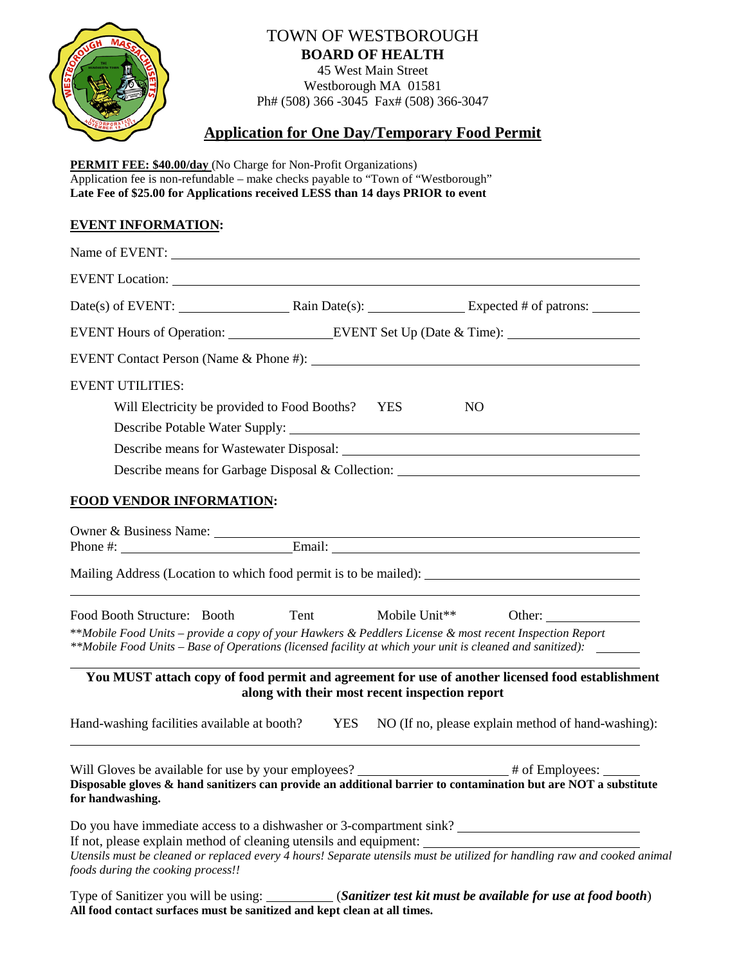

# TOWN OF WESTBOROUGH **BOARD OF HEALTH**

45 West Main Street Westborough MA 01581 Ph# (508) 366 -3045 Fax# (508) 366-3047

## **Application for One Day/Temporary Food Permit**

**PERMIT FEE: \$40.00/day** (No Charge for Non-Profit Organizations) Application fee is non-refundable – make checks payable to "Town of "Westborough" **Late Fee of \$25.00 for Applications received LESS than 14 days PRIOR to event**

## **EVENT INFORMATION:**

| Name of EVENT:                                                                                                                                                                          |                                                |                |                                                                                                                           |
|-----------------------------------------------------------------------------------------------------------------------------------------------------------------------------------------|------------------------------------------------|----------------|---------------------------------------------------------------------------------------------------------------------------|
|                                                                                                                                                                                         |                                                |                |                                                                                                                           |
| Date(s) of EVENT: Rain Date(s): Expected # of patrons:                                                                                                                                  |                                                |                |                                                                                                                           |
| EVENT Hours of Operation: _________________EVENT Set Up (Date & Time): _____________________________                                                                                    |                                                |                |                                                                                                                           |
|                                                                                                                                                                                         |                                                |                |                                                                                                                           |
| <b>EVENT UTILITIES:</b>                                                                                                                                                                 |                                                |                |                                                                                                                           |
| Will Electricity be provided to Food Booths? YES                                                                                                                                        |                                                | N <sub>O</sub> |                                                                                                                           |
|                                                                                                                                                                                         |                                                |                |                                                                                                                           |
|                                                                                                                                                                                         |                                                |                |                                                                                                                           |
|                                                                                                                                                                                         |                                                |                | Describe means for Garbage Disposal & Collection: _______________________________                                         |
| <b>FOOD VENDOR INFORMATION:</b>                                                                                                                                                         |                                                |                |                                                                                                                           |
|                                                                                                                                                                                         |                                                |                |                                                                                                                           |
|                                                                                                                                                                                         |                                                |                |                                                                                                                           |
| Mailing Address (Location to which food permit is to be mailed):<br>,我们也不会有什么。""我们的人,我们也不会有什么?""我们的人,我们也不会有什么?""我们的人,我们也不会有什么?""我们的人,我们也不会有什么?""我们的人                                    |                                                |                |                                                                                                                           |
| Food Booth Structure: Booth<br>**Mobile Food Units - provide a copy of your Hawkers & Peddlers License & most recent Inspection Report                                                  | Tent                                           |                | Mobile Unit <sup>**</sup> Other:                                                                                          |
| **Mobile Food Units – Base of Operations (licensed facility at which your unit is cleaned and sanitized):                                                                               |                                                |                |                                                                                                                           |
|                                                                                                                                                                                         | along with their most recent inspection report |                | You MUST attach copy of food permit and agreement for use of another licensed food establishment                          |
| Hand-washing facilities available at booth? YES                                                                                                                                         |                                                |                | NO (If no, please explain method of hand-washing):                                                                        |
| Will Gloves be available for use by your employees? __________________# of Employees: ______<br>for handwashing.                                                                        |                                                |                | Disposable gloves & hand sanitizers can provide an additional barrier to contamination but are NOT a substitute           |
| Do you have immediate access to a dishwasher or 3-compartment sink?<br>If not, please explain method of cleaning utensils and equipment:<br>foods during the cooking process!!          |                                                |                | Utensils must be cleaned or replaced every 4 hours! Separate utensils must be utilized for handling raw and cooked animal |
| Type of Sanitizer you will be using: __________(Sanitizer test kit must be available for use at food booth)<br>All food contact surfaces must be sanitized and kept clean at all times. |                                                |                |                                                                                                                           |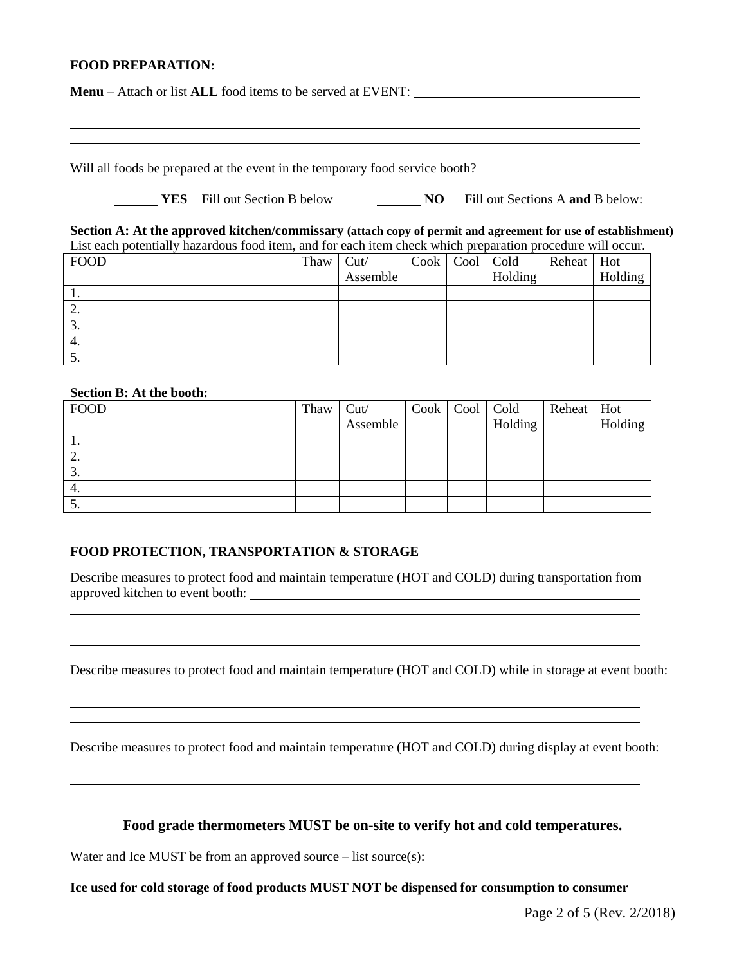#### **FOOD PREPARATION:**

| <b>Menu</b> – Attach or list <b>ALL</b> food items to be served at EVENT: |  |
|---------------------------------------------------------------------------|--|
|                                                                           |  |
|                                                                           |  |

Will all foods be prepared at the event in the temporary food service booth?

|  | <b>YES</b> Fill out Section B below |  | Fill out Sections A and B below: |  |
|--|-------------------------------------|--|----------------------------------|--|
|--|-------------------------------------|--|----------------------------------|--|

**Section A: At the approved kitchen/commissary (attach copy of permit and agreement for use of establishment)** List each potentially hazardous food item, and for each item check which preparation procedure will occur.

| <b>FOOD</b> | Thaw $\vert$ Cut/ |          | Cook   Cool   Cold |         | Reheat Hot |         |
|-------------|-------------------|----------|--------------------|---------|------------|---------|
|             |                   | Assemble |                    | Holding |            | Holding |
|             |                   |          |                    |         |            |         |
| ∠.          |                   |          |                    |         |            |         |
| J.          |                   |          |                    |         |            |         |
| 4.          |                   |          |                    |         |            |         |
| J.          |                   |          |                    |         |            |         |

#### **Section B: At the booth:**

| <b>FOOD</b> | Thaw Cut/ |  | Cook   Cool   Cold | Reheat   Hot |         |
|-------------|-----------|--|--------------------|--------------|---------|
|             | Assemble  |  | Holding            |              | Holding |
|             |           |  |                    |              |         |
| ٠.          |           |  |                    |              |         |
| J.          |           |  |                    |              |         |
| 4.          |           |  |                    |              |         |
| ິ.          |           |  |                    |              |         |

#### **FOOD PROTECTION, TRANSPORTATION & STORAGE**

Describe measures to protect food and maintain temperature (HOT and COLD) during transportation from approved kitchen to event booth:

Describe measures to protect food and maintain temperature (HOT and COLD) while in storage at event booth:

<u> 1989 - Johann Stoff, amerikansk politiker (\* 1908)</u>

the control of the control of the control of the control of the control of the control of the control of the control of the control of the control of the control of the control of the control of the control of the control

<u> 1989 - Johann Stoff, amerikansk politiker (\* 1908)</u>

Describe measures to protect food and maintain temperature (HOT and COLD) during display at event booth:

**Food grade thermometers MUST be on-site to verify hot and cold temperatures.**

Water and Ice MUST be from an approved source – list source(s):

**Ice used for cold storage of food products MUST NOT be dispensed for consumption to consumer**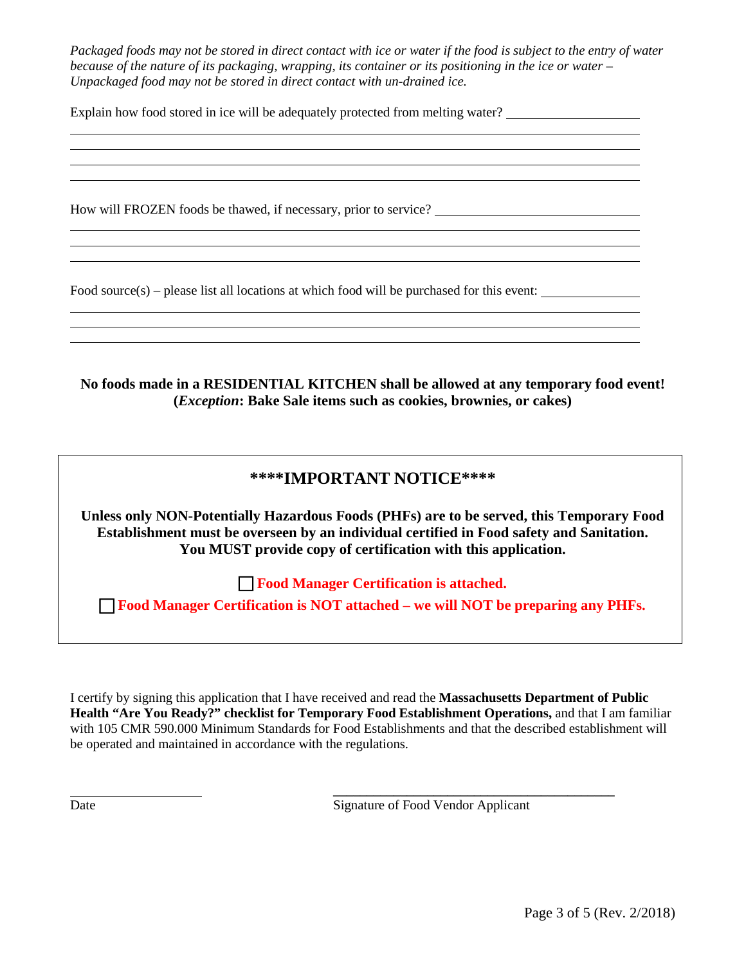*Packaged foods may not be stored in direct contact with ice or water if the food is subject to the entry of water because of the nature of its packaging, wrapping, its container or its positioning in the ice or water – Unpackaged food may not be stored in direct contact with un-drained ice.* 

Explain how food stored in ice will be adequately protected from melting water?

How will FROZEN foods be thawed, if necessary, prior to service?

Food source(s) – please list all locations at which food will be purchased for this event:

**No foods made in a RESIDENTIAL KITCHEN shall be allowed at any temporary food event! (***Exception***: Bake Sale items such as cookies, brownies, or cakes)**

## **\*\*\*\*IMPORTANT NOTICE\*\*\*\***

**Unless only NON-Potentially Hazardous Foods (PHFs) are to be served, this Temporary Food Establishment must be overseen by an individual certified in Food safety and Sanitation. You MUST provide copy of certification with this application.**

**Food Manager Certification is attached.**

**Food Manager Certification is NOT attached – we will NOT be preparing any PHFs.**

I certify by signing this application that I have received and read the **Massachusetts Department of Public Health "Are You Ready?" checklist for Temporary Food Establishment Operations,** and that I am familiar with 105 CMR 590.000 Minimum Standards for Food Establishments and that the described establishment will be operated and maintained in accordance with the regulations.

Date Signature of Food Vendor Applicant

**\_\_\_\_\_\_\_\_\_\_\_\_\_\_\_\_\_\_\_\_\_\_\_\_\_\_\_\_\_\_\_\_\_\_\_\_\_\_\_\_\_\_**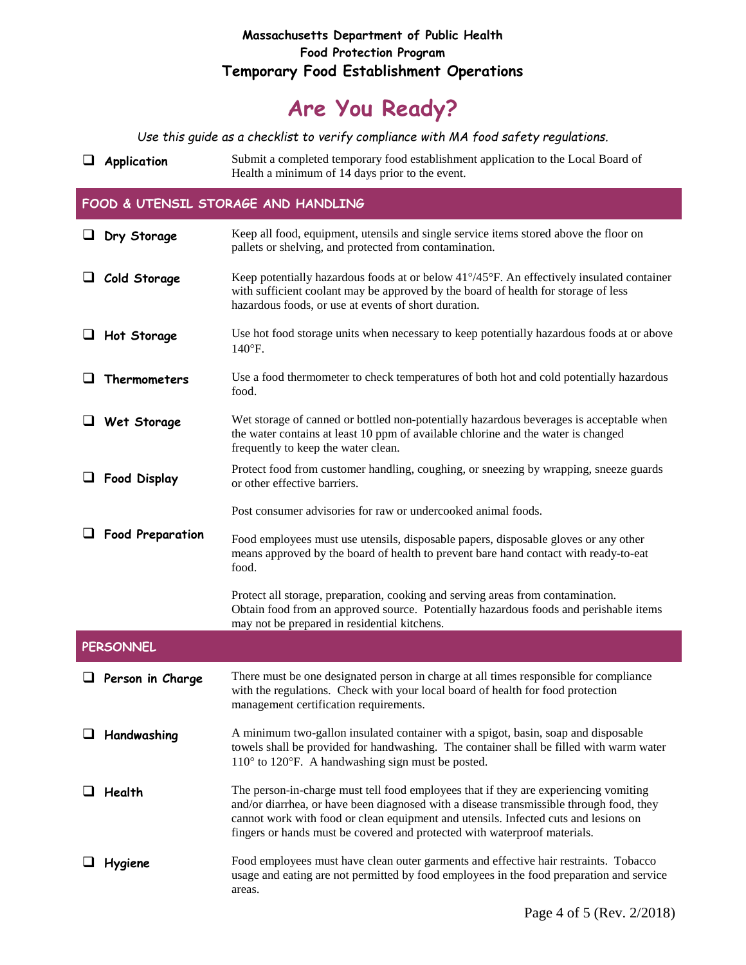### **Massachusetts Department of Public Health Food Protection Program Temporary Food Establishment Operations**

# **Are You Ready?**

*Use this guide as a checklist to verify compliance with MA food safety regulations.*

**Application** Submit a completed temporary food establishment application to the Local Board of Health a minimum of 14 days prior to the event.

#### **FOOD & UTENSIL STORAGE AND HANDLING**

|   | $\Box$ Dry Storage      | Keep all food, equipment, utensils and single service items stored above the floor on<br>pallets or shelving, and protected from contamination.                                                                                                                                                                                                     |
|---|-------------------------|-----------------------------------------------------------------------------------------------------------------------------------------------------------------------------------------------------------------------------------------------------------------------------------------------------------------------------------------------------|
|   | Cold Storage            | Keep potentially hazardous foods at or below 41°/45°F. An effectively insulated container<br>with sufficient coolant may be approved by the board of health for storage of less<br>hazardous foods, or use at events of short duration.                                                                                                             |
| ⊔ | Hot Storage             | Use hot food storage units when necessary to keep potentially hazardous foods at or above<br>$140^{\circ}$ F.                                                                                                                                                                                                                                       |
| ப | Thermometers            | Use a food thermometer to check temperatures of both hot and cold potentially hazardous<br>food.                                                                                                                                                                                                                                                    |
|   | Wet Storage             | Wet storage of canned or bottled non-potentially hazardous beverages is acceptable when<br>the water contains at least 10 ppm of available chlorine and the water is changed<br>frequently to keep the water clean.                                                                                                                                 |
|   | <b>Food Display</b>     | Protect food from customer handling, coughing, or sneezing by wrapping, sneeze guards<br>or other effective barriers.                                                                                                                                                                                                                               |
|   |                         | Post consumer advisories for raw or undercooked animal foods.                                                                                                                                                                                                                                                                                       |
|   | <b>Food Preparation</b> | Food employees must use utensils, disposable papers, disposable gloves or any other<br>means approved by the board of health to prevent bare hand contact with ready-to-eat<br>food.                                                                                                                                                                |
|   |                         | Protect all storage, preparation, cooking and serving areas from contamination.<br>Obtain food from an approved source. Potentially hazardous foods and perishable items<br>may not be prepared in residential kitchens.                                                                                                                            |
|   | <b>PERSONNEL</b>        |                                                                                                                                                                                                                                                                                                                                                     |
|   | $\Box$ Person in Charge | There must be one designated person in charge at all times responsible for compliance<br>with the regulations. Check with your local board of health for food protection<br>management certification requirements.                                                                                                                                  |
|   | $\Box$ Handwashing      | A minimum two-gallon insulated container with a spigot, basin, soap and disposable<br>towels shall be provided for handwashing. The container shall be filled with warm water<br>110° to 120°F. A handwashing sign must be posted.                                                                                                                  |
|   | Health                  | The person-in-charge must tell food employees that if they are experiencing vomiting<br>and/or diarrhea, or have been diagnosed with a disease transmissible through food, they<br>cannot work with food or clean equipment and utensils. Infected cuts and lesions on<br>fingers or hands must be covered and protected with waterproof materials. |
|   | Hygiene                 | Food employees must have clean outer garments and effective hair restraints. Tobacco<br>usage and eating are not permitted by food employees in the food preparation and service<br>areas.                                                                                                                                                          |